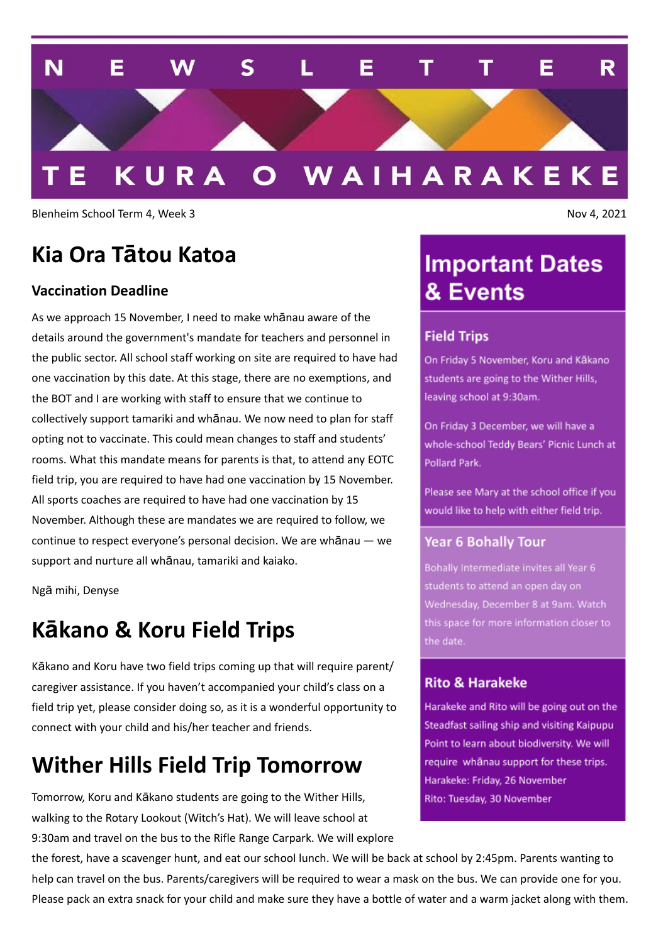

Blenheim School Term 4, Week 3 Nov 4, 2021

## **Kia Ora Tātou Katoa**

### **Vaccination Deadline**

As we approach 15 November, I need to make whānau aware of the details around the government's mandate for teachers and personnel in the public sector. All school staff working on site are required to have had one vaccination by this date. At this stage, there are no exemptions, and the BOT and I are working with staff to ensure that we continue to collectively support tamariki and whānau. We now need to plan for staff opting not to vaccinate. This could mean changes to staff and students' rooms. What this mandate means for parents is that, to attend any EOTC field trip, you are required to have had one vaccination by 15 November. All sports coaches are required to have had one vaccination by 15 November. Although these are mandates we are required to follow, we continue to respect everyone's personal decision. We are whānau — we support and nurture all whānau, tamariki and kaiako.

Ngā mihi, Denyse

### **Kākano & Koru Field Trips**

Kākano and Koru have two field trips coming up that will require parent/ caregiver assistance. If you haven't accompanied your child's class on a field trip yet, please consider doing so, as it is a wonderful opportunity to connect with your child and his/her teacher and friends.

### **Wither Hills Field Trip Tomorrow**

Tomorrow, Koru and Kākano students are going to the Wither Hills, walking to the Rotary Lookout (Witch's Hat). We will leave school at 9:30am and travel on the bus to the Rifle Range Carpark. We will explore

### the forest, have a scavenger hunt, and eat our school lunch. We will be back at school by 2:45pm. Parents wanting to help can travel on the bus. Parents/caregivers will be required to wear a mask on the bus. We can provide one for you. Please pack an extra snack for your child and make sure they have a bottle of water and a warm jacket along with them.

## **Important Dates** & Events

#### **Field Trips**

On Friday 5 November, Koru and Kākano students are going to the Wither Hills, leaving school at 9:30am.

On Friday 3 December, we will have a whole-school Teddy Bears' Picnic Lunch at Pollard Park.

Please see Mary at the school office if you would like to help with either field trip.

#### **Year 6 Bohally Tour**

Bohally Intermediate invites all Year 6 students to attend an open day on Wednesday, December 8 at 9am. Watch this space for more information closer to the date.

#### **Rito & Harakeke**

Harakeke and Rito will be going out on the Steadfast sailing ship and visiting Kaipupu Point to learn about biodiversity. We will require whanau support for these trips. Harakeke: Friday, 26 November Rito: Tuesday, 30 November